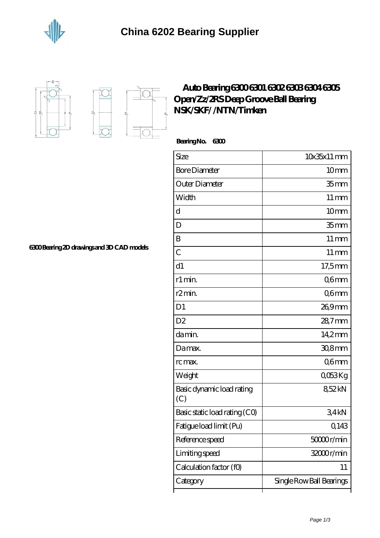





## **[Auto Bearing 6300 6301 6302 6303 6304 6305](https://jonathanandsylvia.com/ntn-6304-bearing/638967.html) [Open/Zz/2RS Deep Groove Ball Bearing](https://jonathanandsylvia.com/ntn-6304-bearing/638967.html) [NSK/SKF/ /NTN/Timken](https://jonathanandsylvia.com/ntn-6304-bearing/638967.html)**

 **Bearing No. 6300**

| Size                             | $10x35x11$ mm            |
|----------------------------------|--------------------------|
| <b>Bore Diameter</b>             | 10 <sub>mm</sub>         |
| Outer Diameter                   | 35 <sub>mm</sub>         |
| Width                            | $11 \,\mathrm{mm}$       |
| d                                | 10 <sub>mm</sub>         |
| D                                | 35 <sub>mm</sub>         |
| B                                | $11 \,\mathrm{mm}$       |
| $\overline{C}$                   | $11 \,\mathrm{mm}$       |
| d1                               | $17,5$ mm                |
| r1 min.                          | Q6mm                     |
| r <sub>2</sub> min.              | Q6mm                     |
| D <sub>1</sub>                   | 269mm                    |
| D <sub>2</sub>                   | $287$ mm                 |
| da min.                          | 14.2mm                   |
| Damax.                           | $308$ mm                 |
| rc max.                          | Q6mm                     |
| Weight                           | QO53Kg                   |
| Basic dynamic load rating<br>(C) | 852kN                    |
| Basic static load rating (CO)    | 34kN                     |
| Fatigue load limit (Pu)          | Q143                     |
| Reference speed                  | 50000r/min               |
| Limiting speed                   | 32000r/min               |
| Calculation factor (f0)          | 11                       |
| Category                         | Single Row Ball Bearings |

**[6300 Bearing 2D drawings and 3D CAD models](https://jonathanandsylvia.com/pic-638967.html)**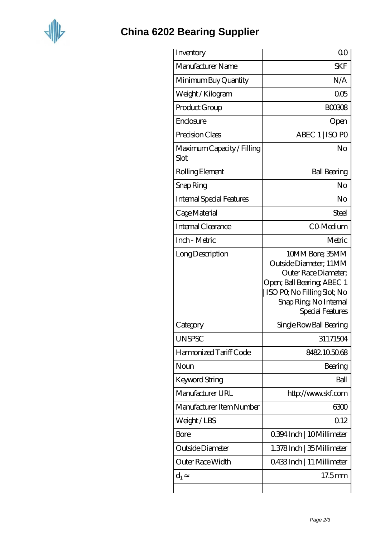

## **[China 6202 Bearing Supplier](https://jonathanandsylvia.com)**

| Inventory                          | 0 <sup>0</sup>                                                                                                                                                              |
|------------------------------------|-----------------------------------------------------------------------------------------------------------------------------------------------------------------------------|
| Manufacturer Name                  | <b>SKF</b>                                                                                                                                                                  |
| Minimum Buy Quantity               | N/A                                                                                                                                                                         |
| Weight/Kilogram                    | 005                                                                                                                                                                         |
| Product Group                      | <b>BOO3O8</b>                                                                                                                                                               |
| Enclosure                          | Open                                                                                                                                                                        |
| Precision Class                    | ABEC 1   ISO PO                                                                                                                                                             |
| Maximum Capacity / Filling<br>Slot | No                                                                                                                                                                          |
| Rolling Element                    | <b>Ball Bearing</b>                                                                                                                                                         |
| Snap Ring                          | No                                                                                                                                                                          |
| <b>Internal Special Features</b>   | No                                                                                                                                                                          |
| Cage Material                      | Steel                                                                                                                                                                       |
| Internal Clearance                 | CO-Medium                                                                                                                                                                   |
| Inch - Metric                      | Metric                                                                                                                                                                      |
| Long Description                   | 10MM Bore; 35MM<br>Outside Diameter; 11MM<br>Outer Race Diameter;<br>Open; Ball Bearing; ABEC 1<br>ISO PQ No Filling Slot; No<br>Snap Ring, No Internal<br>Special Features |
| Category                           | Single Row Ball Bearing                                                                                                                                                     |
| <b>UNSPSC</b>                      | 31171504                                                                                                                                                                    |
| Harmonized Tariff Code             | 8482105068                                                                                                                                                                  |
| Noun                               | Bearing                                                                                                                                                                     |
| Keyword String                     | Ball                                                                                                                                                                        |
| Manufacturer URL                   | http://www.skf.com                                                                                                                                                          |
| Manufacturer Item Number           | 6300                                                                                                                                                                        |
| Weight/LBS                         | 0.12                                                                                                                                                                        |
| Bore                               | 0.394 Inch   10 Millimeter                                                                                                                                                  |
| Outside Diameter                   | 1.378 Inch   35 Millimeter                                                                                                                                                  |
| Outer Race Width                   | 0.433 Inch   11 Millimeter                                                                                                                                                  |
| $d_1$                              | 17.5mm                                                                                                                                                                      |
|                                    |                                                                                                                                                                             |